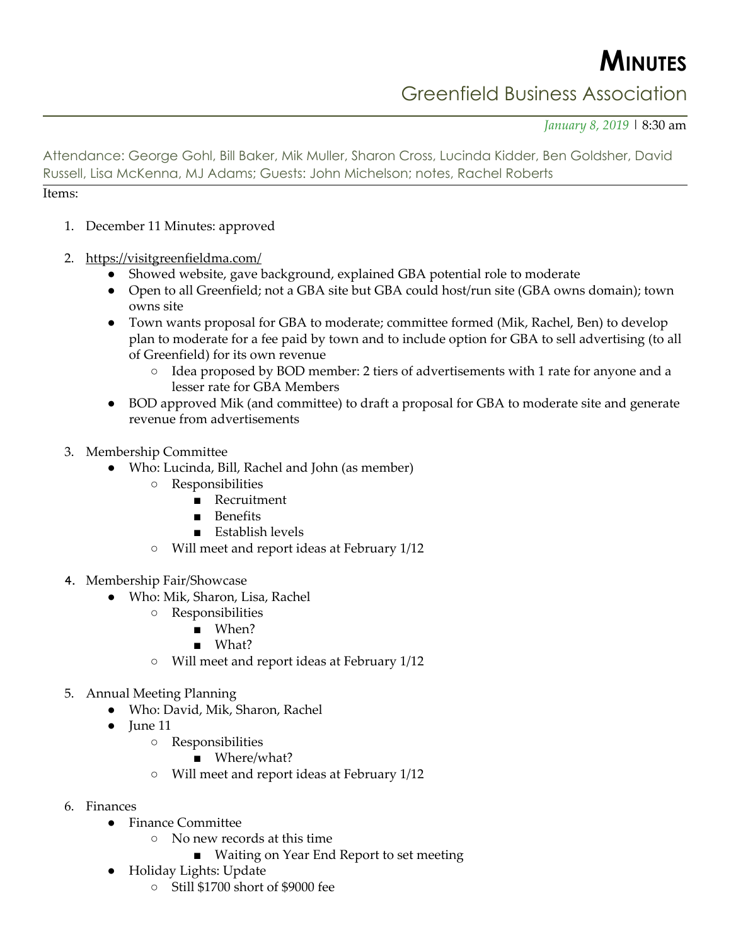**MINUTES**

## Greenfield Business Association

*January 8, 2019* | 8:30 am

Attendance: George Gohl, Bill Baker, Mik Muller, Sharon Cross, Lucinda Kidder, Ben Goldsher, David Russell, Lisa McKenna, MJ Adams; Guests: John Michelson; notes, Rachel Roberts

## Items:

- 1. December 11 Minutes: approved
- 2. <https://visitgreenfieldma.com/>
	- Showed website, gave background, explained GBA potential role to moderate
	- Open to all Greenfield; not a GBA site but GBA could host/run site (GBA owns domain); town owns site
	- Town wants proposal for GBA to moderate; committee formed (Mik, Rachel, Ben) to develop plan to moderate for a fee paid by town and to include option for GBA to sell advertising (to all of Greenfield) for its own revenue
		- Idea proposed by BOD member: 2 tiers of advertisements with 1 rate for anyone and a lesser rate for GBA Members
	- BOD approved Mik (and committee) to draft a proposal for GBA to moderate site and generate revenue from advertisements
- 3. Membership Committee
	- Who: Lucinda, Bill, Rachel and John (as member)
		- Responsibilities
			- Recruitment
			- Benefits
			- Establish levels
		- Will meet and report ideas at February 1/12
- 4. Membership Fair/Showcase
	- Who: Mik, Sharon, Lisa, Rachel
		- Responsibilities
			- When?
			- What?
		- Will meet and report ideas at February 1/12
- 5. Annual Meeting Planning
	- Who: David, Mik, Sharon, Rachel
	- June 11
		- Responsibilities
			- Where/what?
		- Will meet and report ideas at February 1/12
- 6. Finances
	- Finance Committee
		- No new records at this time
			- Waiting on Year End Report to set meeting
	- Holiday Lights: Update
		- Still \$1700 short of \$9000 fee